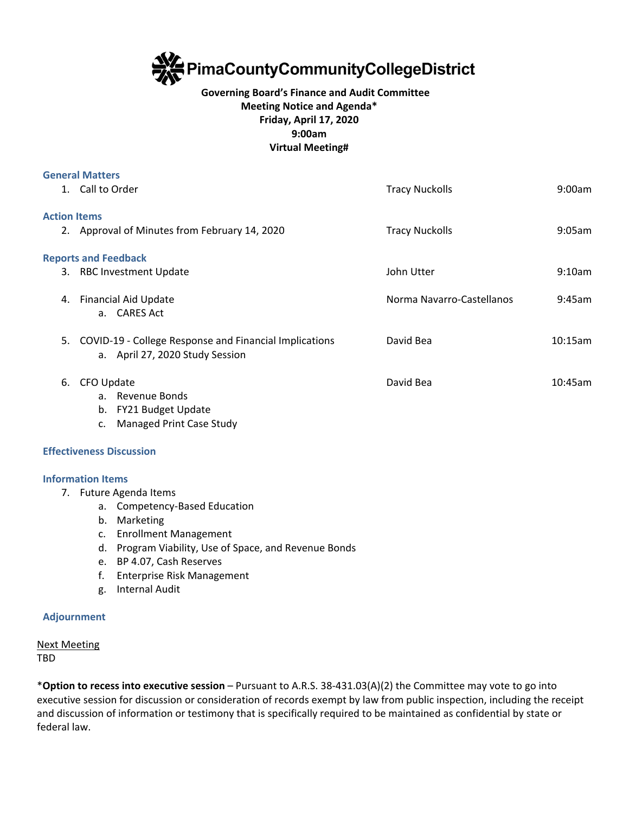

# **Governing Board's Finance and Audit Committee Meeting Notice and Agenda\* Friday, April 17, 2020 9:00am Virtual Meeting#**

|    | <b>General Matters</b>                                                                    |                           |         |
|----|-------------------------------------------------------------------------------------------|---------------------------|---------|
|    | 1. Call to Order                                                                          | <b>Tracy Nuckolls</b>     | 9:00am  |
|    | <b>Action Items</b>                                                                       |                           |         |
|    | 2. Approval of Minutes from February 14, 2020                                             | <b>Tracy Nuckolls</b>     | 9:05am  |
|    | <b>Reports and Feedback</b>                                                               |                           |         |
|    | 3. RBC Investment Update                                                                  | John Utter                | 9:10am  |
| 4. | Financial Aid Update<br>a. CARES Act                                                      | Norma Navarro-Castellanos | 9:45am  |
| 5. | COVID-19 - College Response and Financial Implications<br>a. April 27, 2020 Study Session | David Bea                 | 10:15am |
| 6. | CFO Update<br>a. Revenue Bonds<br>b. FY21 Budget Update                                   | David Bea                 | 10:45am |

c. Managed Print Case Study

## **Effectiveness Discussion**

## **Information Items**

- 7. Future Agenda Items
	- a. Competency-Based Education
	- b. Marketing
	- c. Enrollment Management
	- d. Program Viability, Use of Space, and Revenue Bonds
	- e. BP 4.07, Cash Reserves
	- f. Enterprise Risk Management
	- g. Internal Audit

## **Adjournment**

Next Meeting TBD

\***Option to recess into executive session** – Pursuant to A.R.S. 38-431.03(A)(2) the Committee may vote to go into executive session for discussion or consideration of records exempt by law from public inspection, including the receipt and discussion of information or testimony that is specifically required to be maintained as confidential by state or federal law.